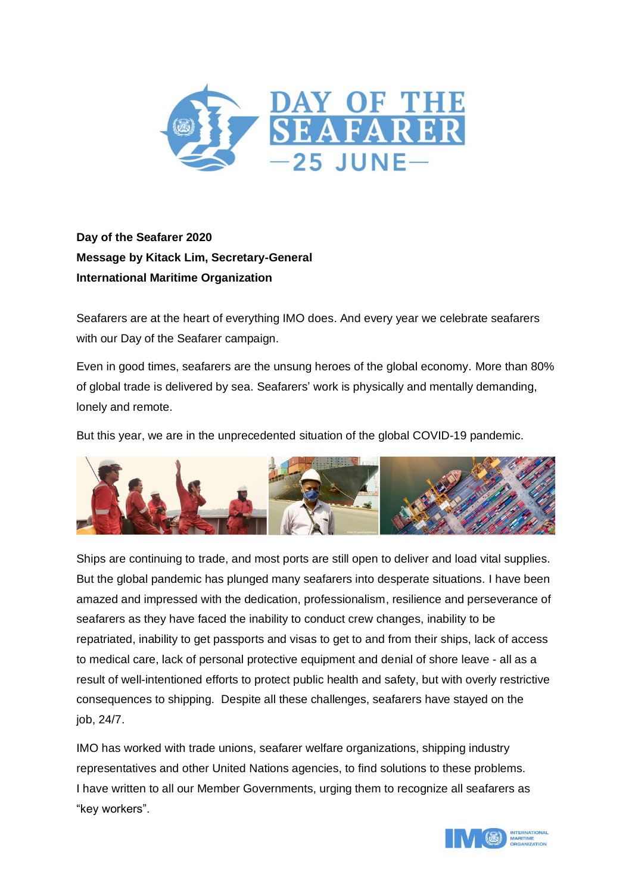

**Day of the Seafarer 2020 Message by Kitack Lim, Secretary-General International Maritime Organization**

Seafarers are at the heart of everything IMO does. And every year we celebrate seafarers with our Day of the Seafarer campaign.

Even in good times, seafarers are the unsung heroes of the global economy. More than 80% of global trade is delivered by sea. Seafarers' work is physically and mentally demanding, lonely and remote.

But this year, we are in the unprecedented situation of the global COVID-19 pandemic.



Ships are continuing to trade, and most ports are still open to deliver and load vital supplies. But the global pandemic has plunged many seafarers into desperate situations. I have been amazed and impressed with the dedication, professionalism, resilience and perseverance of seafarers as they have faced the inability to conduct crew changes, inability to be repatriated, inability to get passports and visas to get to and from their ships, lack of access to medical care, lack of personal protective equipment and denial of shore leave - all as a result of well-intentioned efforts to protect public health and safety, but with overly restrictive consequences to shipping. Despite all these challenges, seafarers have stayed on the job, 24/7.

IMO has worked with trade unions, seafarer welfare organizations, shipping industry representatives and other United Nations agencies, to find solutions to these problems. I have written to all our Member Governments, urging them to recognize all seafarers as "key workers".